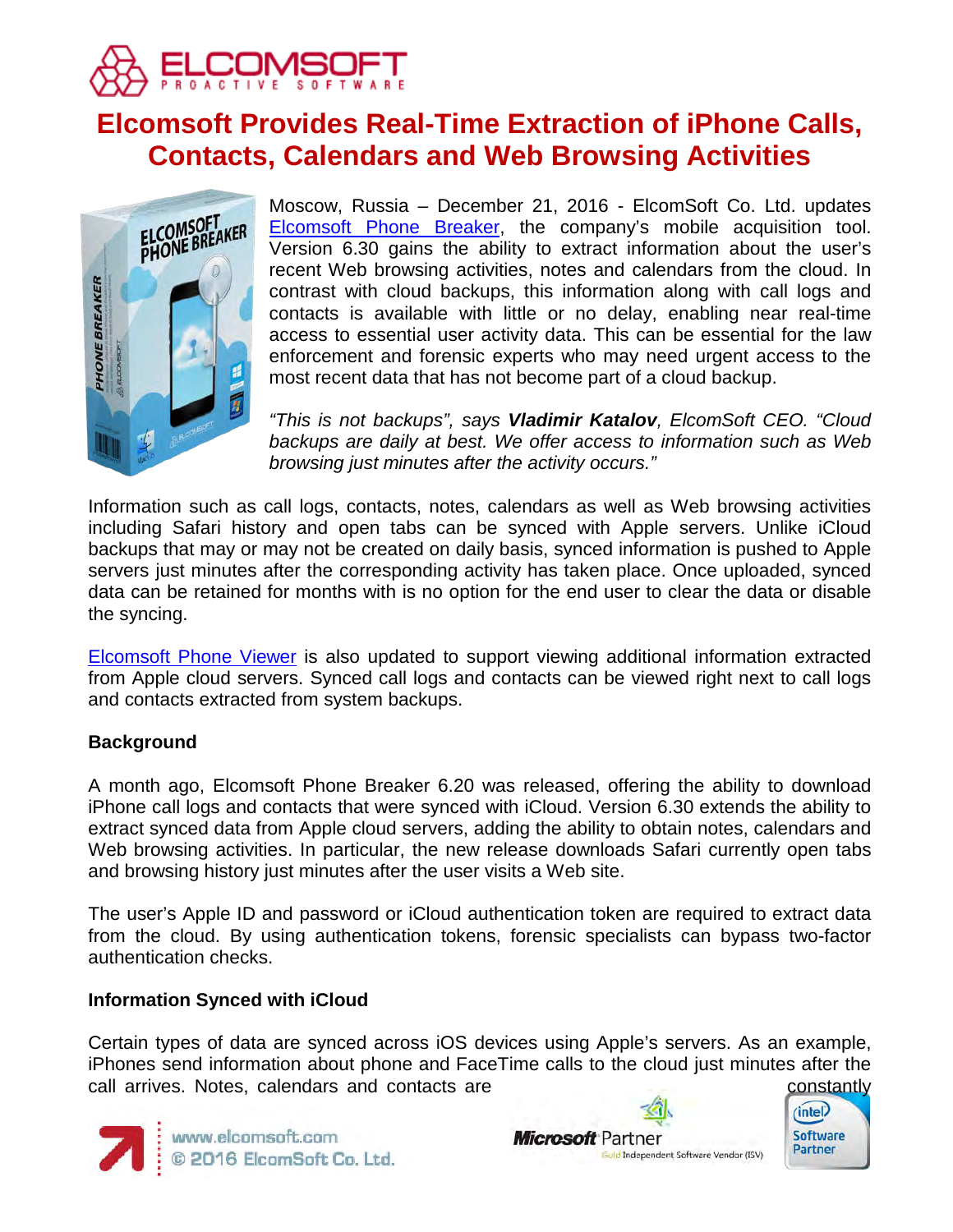

# **Elcomsoft Provides Real-Time Extraction of iPhone Calls, Contacts, Calendars and Web Browsing Activities**



Moscow, Russia – December 21, 2016 - ElcomSoft Co. Ltd. updates [Elcomsoft Phone Breaker,](https://www.elcomsoft.com/eppb.html) the company's mobile acquisition tool. Version 6.30 gains the ability to extract information about the user's recent Web browsing activities, notes and calendars from the cloud. In contrast with cloud backups, this information along with call logs and contacts is available with little or no delay, enabling near real-time access to essential user activity data. This can be essential for the law enforcement and forensic experts who may need urgent access to the most recent data that has not become part of a cloud backup.

*"This is not backups", says Vladimir Katalov, ElcomSoft CEO. "Cloud backups are daily at best. We offer access to information such as Web browsing just minutes after the activity occurs."*

Information such as call logs, contacts, notes, calendars as well as Web browsing activities including Safari history and open tabs can be synced with Apple servers. Unlike iCloud backups that may or may not be created on daily basis, synced information is pushed to Apple servers just minutes after the corresponding activity has taken place. Once uploaded, synced data can be retained for months with is no option for the end user to clear the data or disable the syncing.

[Elcomsoft Phone Viewer](https://www.elcomsoft.com/epv.html) is also updated to support viewing additional information extracted from Apple cloud servers. Synced call logs and contacts can be viewed right next to call logs and contacts extracted from system backups.

# **Background**

A month ago, Elcomsoft Phone Breaker 6.20 was released, offering the ability to download iPhone call logs and contacts that were synced with iCloud. Version 6.30 extends the ability to extract synced data from Apple cloud servers, adding the ability to obtain notes, calendars and Web browsing activities. In particular, the new release downloads Safari currently open tabs and browsing history just minutes after the user visits a Web site.

The user's Apple ID and password or iCloud authentication token are required to extract data from the cloud. By using authentication tokens, forensic specialists can bypass two-factor authentication checks.

# **Information Synced with iCloud**

Certain types of data are synced across iOS devices using Apple's servers. As an example, iPhones send information about phone and FaceTime calls to the cloud just minutes after the call arrives. Notes, calendars and contacts are constantly constantly